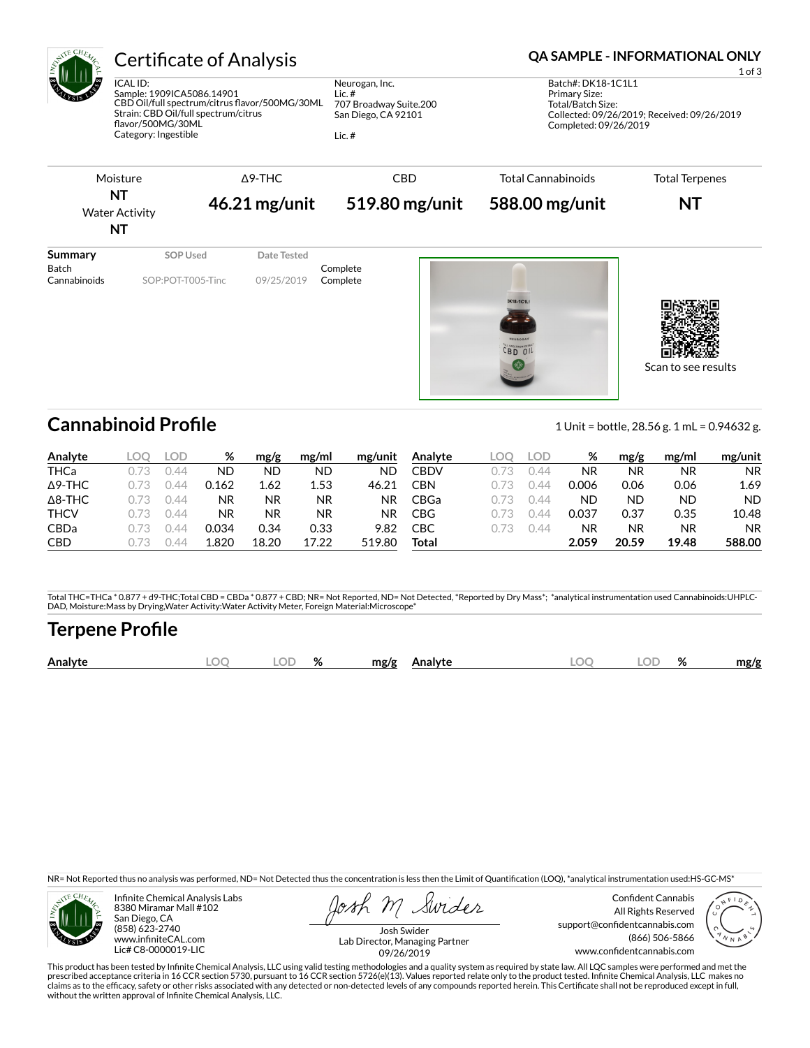

## Certificate of Analysis **Certificate of Analysis QA SAMPLE - INFORMATIONAL ONLY**

ICAL ID: Sample: 1909ICA5086.14901 CBD Oil/full spectrum/citrus flavor/500MG/30ML Strain: CBD Oil/full spectrum/citrus flavor/500MG/30ML Category: Ingestible

Neurogan, Inc. Lic. # 707 Broadway Suite.200 San Diego, CA 92101

Lic. #

1 of 3 Batch#: DK18-1C1L1 Primary Size: Total/Batch Size: Collected: 09/26/2019; Received: 09/26/2019 Completed: 09/26/2019



 $BD$   $01$ 

Cannabinoid Profile **Cannabinoid Profile** 1 Unit = bottle, 28.56 g. 1 mL = 0.94632 g.

Scan to see results

| Analyte        | .OC  | LOD              | %         | mg/g      | mg/ml     | mg/unit | Analyte     | .OC | LOD | %         | mg/g  | mg/ml     | mg/unit   |
|----------------|------|------------------|-----------|-----------|-----------|---------|-------------|-----|-----|-----------|-------|-----------|-----------|
| THCa           |      | 144              | ND        | ND        | ND        | ND      | CBDV        |     | 44  | <b>NR</b> | ΝR    | ΝR        | <b>NR</b> |
| $\Delta$ 9-THC |      | $\Delta$         | 0.162     | 1.62      | 1.53      | 46.21   | CBN         |     | 144 | 0.006     | 0.06  | 0.06      | 1.69      |
| $\Delta$ 8-THC |      | 144              | NR        | <b>NR</b> | <b>NR</b> | ΝR      | <b>CBGa</b> |     | 144 | ND        | ND    | <b>ND</b> | <b>ND</b> |
| <b>THCV</b>    | 0.73 | ) $\Delta\Delta$ | <b>NR</b> | <b>NR</b> | NR.       | ΝR      | <b>CBG</b>  |     | 144 | 0.037     | 0.37  | 0.35      | 10.48     |
| <b>CBDa</b>    |      | 144              | 0.034     | 0.34      | 0.33      | 9.82    | СВС         |     | 144 | NR        | ΝR    | NR        | <b>NR</b> |
| <b>CBD</b>     |      |                  | 1.820     | 18.20     | 17.22     | 519.80  | Total       |     |     | 2.059     | 20.59 | 19.48     | 588.00    |

Total THC=THCa \* 0.877 + d9-THC;Total CBD = CBDa \* 0.877 + CBD; NR= Not Reported, ND= Not Detected, \*Reported by Dry Mass\*; \*analytical instrumentation used Cannabinoids:UHPLC-DAD, Moisture:Mass by Drying,Water Activity:Water Activity Meter, Foreign Material:Microscope\*

## **Terpene Pro×le**

| OГ<br>Analyte<br>$\Omega$<br>ЭΓ<br>mg/g<br>mg/g<br><b>\nalvte</b><br>7٥<br>70 |
|-------------------------------------------------------------------------------|
|-------------------------------------------------------------------------------|

NR= Not Reported thus no analysis was performed, ND= Not Detected thus the concentration is less then the Limit of Quantification (LOQ), \*analytical instrumentation used:HS-GC-MS\*



Infinite Chemical Analysis Labs 8380 Miramar Mall #102 San Diego, CA (858) 623-2740 www.infiniteCAL.com Lic# C8-0000019-LIC

Swides

Confident Cannabis All Rights Reserved support@confidentcannabis.com (866) 506-5866 www.confidentcannabis.com



Josh Swider Lab Director, Managing Partner 09/26/2019

This product has been tested by Infinite Chemical Analysis, LLC using valid testing methodologies and a quality system as required by state law. All LQC samples were performed and met the prescribed acceptance criteria in 16 CCR section 5730, pursuant to 16 CCR section 5726(e)(13). Values reported relate only to the product tested. Infinite Chemical Analysis, LLC makes no<br>claims as to the efficacy, safety o without the written approval of Infinite Chemical Analysis, LLC.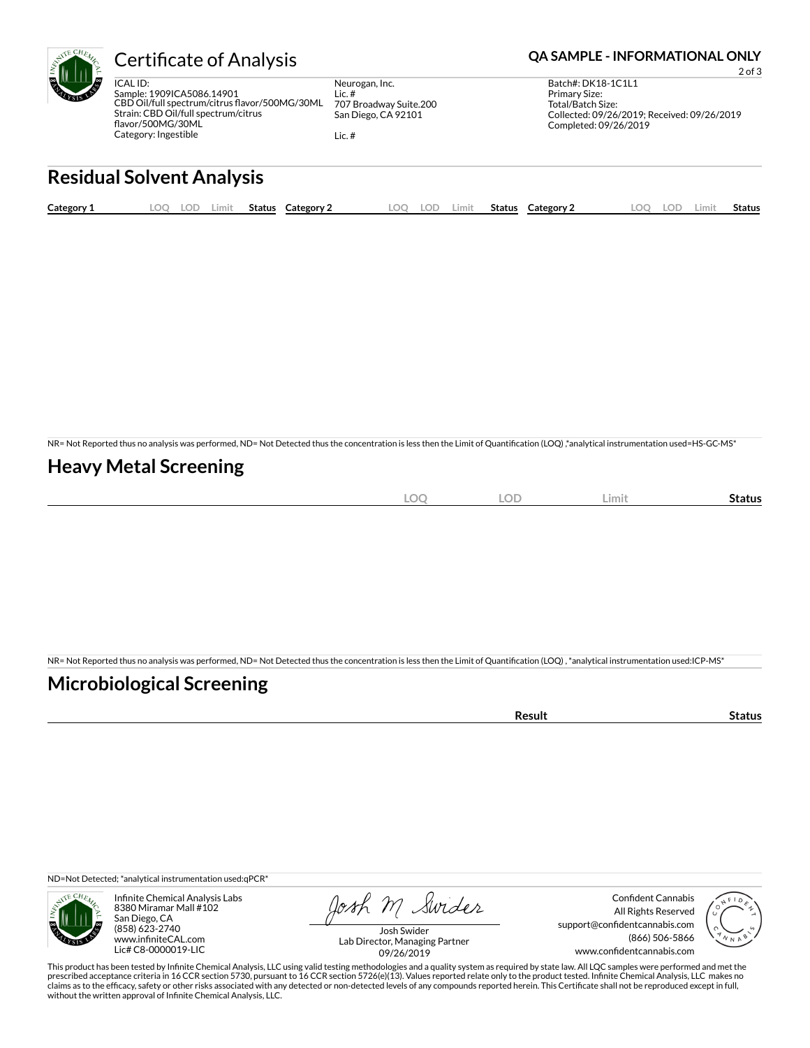

ICAL ID: Sample: 1909ICA5086.14901 CBD Oil/full spectrum/citrus flavor/500MG/30ML Strain: CBD Oil/full spectrum/citrus flavor/500MG/30ML Category: Ingestible

Neurogan, Inc. Lic. # 707 Broadway Suite.200 San Diego, CA 92101

Lic. #

### Certificate of Analysis **Certificate of Analysis QA SAMPLE - INFORMATIONAL ONLY**

2 of 3 Batch#: DK18-1C1L1 Primary Size: Total/Batch Size: Collected: 09/26/2019; Received: 09/26/2019 Completed: 09/26/2019

## **Residual Solvent Analysis**

| Category 1 | .OC | .OF | Limit. | Status | <b>Category 2</b> | nn | $\cap$<br>-91 | .imit | <b>Status</b> | Category 2 | LOC | ОD | Limi | . .<br>Status |
|------------|-----|-----|--------|--------|-------------------|----|---------------|-------|---------------|------------|-----|----|------|---------------|
|            |     |     |        |        |                   |    |               |       |               |            |     |    |      |               |

NR= Not Reported thus no analysis was performed, ND= Not Detected thus the concentration is less then the Limit of Quantification (LOQ),\*analytical instrumentation used=HS-GC-MS\*

### **Heavy Metal Screening**

| ∽<br>м<br>$-$<br>$\sim$ | $\sim$ $\sim$<br>w<br>$\sim$ | Limi | Status |
|-------------------------|------------------------------|------|--------|
|                         |                              |      |        |

NR= Not Reported thus no analysis was performed, ND= Not Detected thus the concentration is less then the Limit of Quantification (LOQ), \*analytical instrumentation used:ICP-MS\*

### **Microbiological Screening**

| `≏sult |
|--------|
|--------|

ND=Not Detected; \*analytical instrumentation used:qPCR\*



Infinite Chemical Analysis Labs 8380 Miramar Mall #102 San Diego, CA (858) 623-2740 www.infiniteCAL.com Lic# C8-0000019-LIC

Josh M Swider

Confident Cannabis All Rights Reserved support@confidentcannabis.com (866) 506-5866 www.confidentcannabis.com



Josh Swider Lab Director, Managing Partner 09/26/2019

This product has been tested by Infinite Chemical Analysis, LLC using valid testing methodologies and a quality system as required by state law. All LQC samples were performed and met the prescribed acceptance criteria in 16 CCR section 5730, pursuant to 16 CCR section 5726(e)(13). Values reported relate only to the product tested. Infinite Chemical Analysis, LLC makes no<br>claims as to the efficacy, safety o without the written approval of Infinite Chemical Analysis, LLC.